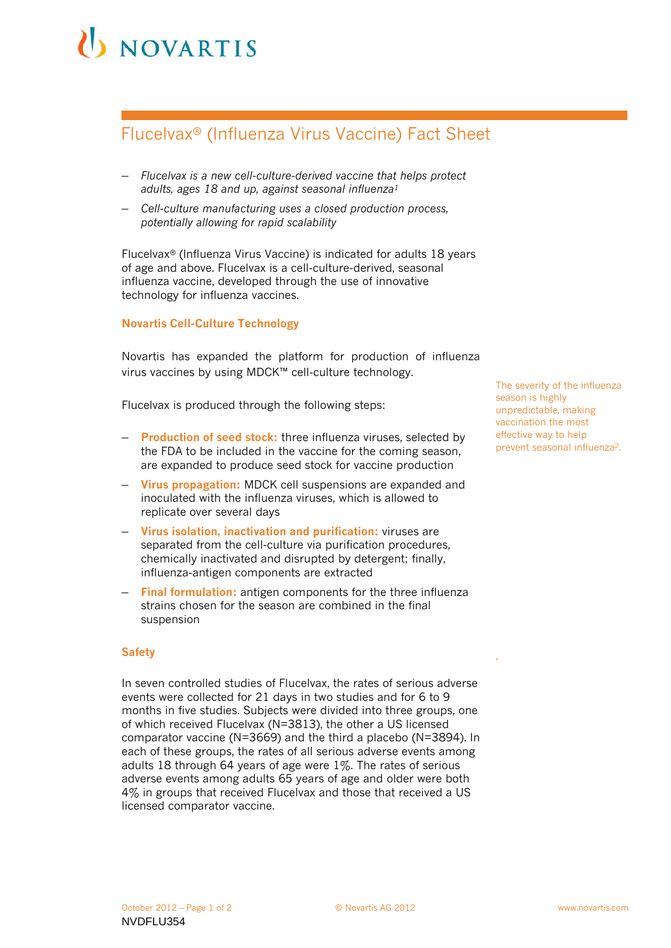# NOVARTIS

## Flucelvax® (Influenza Virus Vaccine) Fact Sheet

- *Flucelvax is a new cell-culture-derived vaccine that helps protect adults, ages 18 and up, against seasonal influenza1*
- *Cell-culture manufacturing uses a closed production process, potentially allowing for rapid scalability*

Flucelvax*®* (Influenza Virus Vaccine) is indicated for adults 18 years of age and above. Flucelvax is a cell-culture-derived, seasonal influenza vaccine, developed through the use of innovative technology for influenza vaccines.

### **Novartis Cell-Culture Technology**

Novartis has expanded the platform for production of influenza virus vaccines by using MDCK™ cell-culture technology.

Flucelvax is produced through the following steps:

- **Production of seed stock:** three influenza viruses, selected by the FDA to be included in the vaccine for the coming season, are expanded to produce seed stock for vaccine production
- **Virus propagation:** MDCK cell suspensions are expanded and inoculated with the influenza viruses, which is allowed to replicate over several days
- **Virus isolation, inactivation and purification:** viruses are separated from the cell-culture via purification procedures, chemically inactivated and disrupted by detergent; finally, influenza-antigen components are extracted
- **Final formulation:** antigen components for the three influenza strains chosen for the season are combined in the final suspension

#### **Safety**

In seven controlled studies of Flucelvax, the rates of serious adverse events were collected for 21 days in two studies and for 6 to 9 months in five studies. Subjects were divided into three groups, one of which received Flucelvax (N=3813), the other a US licensed comparator vaccine (N=3669) and the third a placebo (N=3894). In each of these groups, the rates of all serious adverse events among adults 18 through 64 years of age were 1%. The rates of serious adverse events among adults 65 years of age and older were both 4% in groups that received Flucelvax and those that received a US licensed comparator vaccine.

The severity of the influenza season is highly unpredictable, making vaccination the most effective way to help prevent seasonal influenza2.

.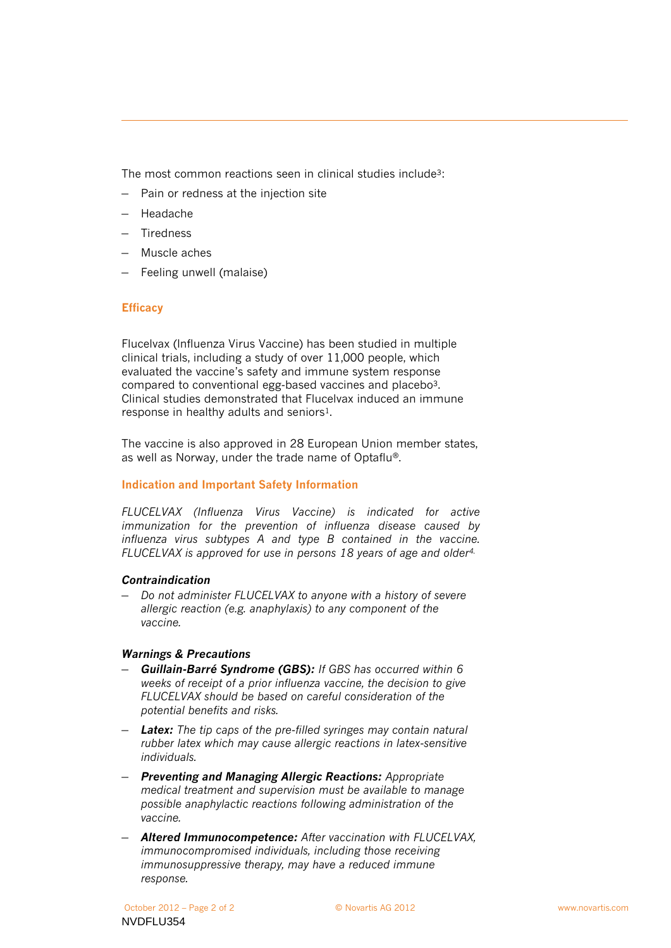The most common reactions seen in clinical studies include3:

- Pain or redness at the injection site
- Headache
- Tiredness
- Muscle aches
- Feeling unwell (malaise)

### **Efficacy**

Flucelvax (Influenza Virus Vaccine) has been studied in multiple clinical trials, including a study of over 11,000 people, which evaluated the vaccine's safety and immune system response compared to conventional egg-based vaccines and placebo3. Clinical studies demonstrated that Flucelvax induced an immune response in healthy adults and seniors<sup>1</sup>.

The vaccine is also approved in 28 European Union member states, as well as Norway, under the trade name of Optaflu®.

### **Indication and Important Safety Information**

*FLUCELVAX (Influenza Virus Vaccine) is indicated for active immunization for the prevention of influenza disease caused by influenza virus subtypes A and type B contained in the vaccine. FLUCELVAX is approved for use in persons 18 years of age and older4.*

### *Contraindication*

– *Do not administer FLUCELVAX to anyone with a history of severe allergic reaction (e.g. anaphylaxis) to any component of the vaccine.*

### *Warnings & Precautions*

- *Guillain-Barré Syndrome (GBS): If GBS has occurred within 6 weeks of receipt of a prior influenza vaccine, the decision to give FLUCELVAX should be based on careful consideration of the potential benefits and risks.*
- *Latex: The tip caps of the pre-filled syringes may contain natural rubber latex which may cause allergic reactions in latex-sensitive individuals.*
- *Preventing and Managing Allergic Reactions: Appropriate medical treatment and supervision must be available to manage possible anaphylactic reactions following administration of the vaccine.*
- *Altered Immunocompetence: After vaccination with FLUCELVAX, immunocompromised individuals, including those receiving immunosuppressive therapy, may have a reduced immune response.*